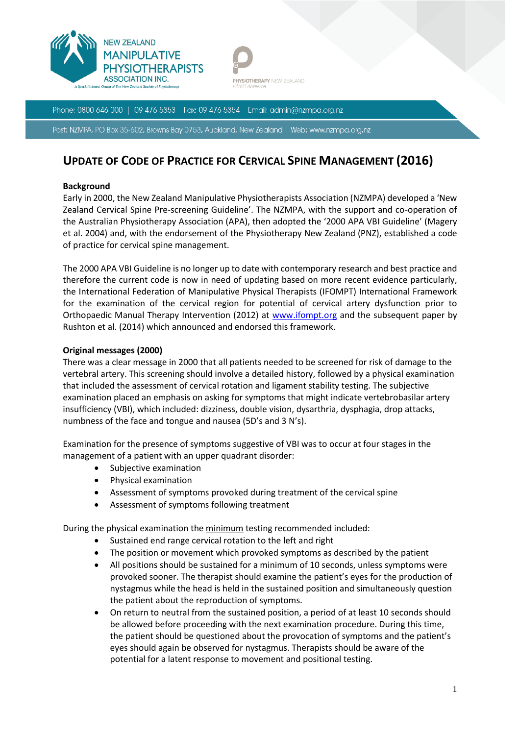



Phone: 0800 646 000 | 09 476 5353 Fax: 09 476 5354 Email: admin@nzmpa.org.nz

Post: NZMPA, PO Box 35-602, Browns Bay 0753, Auckland, New Zealand Web: www.nzmpa.org.nz

# **UPDATE OF CODE OF PRACTICE FOR CERVICAL SPINE MANAGEMENT (2016)**

#### **Background**

Early in 2000, the New Zealand Manipulative Physiotherapists Association (NZMPA) developed a 'New Zealand Cervical Spine Pre-screening Guideline'. The NZMPA, with the support and co-operation of the Australian Physiotherapy Association (APA), then adopted the '2000 APA VBI Guideline' (Magery et al. 2004) and, with the endorsement of the Physiotherapy New Zealand (PNZ), established a code of practice for cervical spine management.

The 2000 APA VBI Guideline is no longer up to date with contemporary research and best practice and therefore the current code is now in need of updating based on more recent evidence particularly, the International Federation of Manipulative Physical Therapists (IFOMPT) International Framework for the examination of the cervical region for potential of cervical artery dysfunction prior to Orthopaedic Manual Therapy Intervention (2012) at [www.ifompt.org](http://www.ifompt.org/) and the subsequent paper by Rushton et al. (2014) which announced and endorsed this framework.

#### **Original messages (2000)**

There was a clear message in 2000 that all patients needed to be screened for risk of damage to the vertebral artery. This screening should involve a detailed history, followed by a physical examination that included the assessment of cervical rotation and ligament stability testing. The subjective examination placed an emphasis on asking for symptoms that might indicate vertebrobasilar artery insufficiency (VBI), which included: dizziness, double vision, dysarthria, dysphagia, drop attacks, numbness of the face and tongue and nausea (5D's and 3 N's).

Examination for the presence of symptoms suggestive of VBI was to occur at four stages in the management of a patient with an upper quadrant disorder:

- Subjective examination
- Physical examination
- Assessment of symptoms provoked during treatment of the cervical spine
- Assessment of symptoms following treatment

During the physical examination the minimum testing recommended included:

- Sustained end range cervical rotation to the left and right
- The position or movement which provoked symptoms as described by the patient
- All positions should be sustained for a minimum of 10 seconds, unless symptoms were provoked sooner. The therapist should examine the patient's eyes for the production of nystagmus while the head is held in the sustained position and simultaneously question the patient about the reproduction of symptoms.
- On return to neutral from the sustained position, a period of at least 10 seconds should be allowed before proceeding with the next examination procedure. During this time, the patient should be questioned about the provocation of symptoms and the patient's eyes should again be observed for nystagmus. Therapists should be aware of the potential for a latent response to movement and positional testing.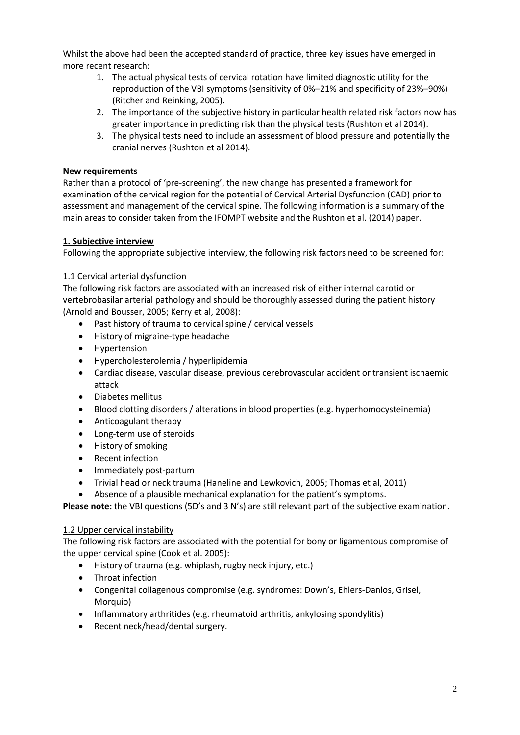Whilst the above had been the accepted standard of practice, three key issues have emerged in more recent research:

- 1. The actual physical tests of cervical rotation have limited diagnostic utility for the reproduction of the VBI symptoms (sensitivity of 0%–21% and specificity of 23%–90%) (Ritcher and Reinking, 2005).
- 2. The importance of the subjective history in particular health related risk factors now has greater importance in predicting risk than the physical tests (Rushton et al 2014).
- 3. The physical tests need to include an assessment of blood pressure and potentially the cranial nerves (Rushton et al 2014).

#### **New requirements**

Rather than a protocol of 'pre-screening', the new change has presented a framework for examination of the cervical region for the potential of Cervical Arterial Dysfunction (CAD) prior to assessment and management of the cervical spine. The following information is a summary of the main areas to consider taken from the IFOMPT website and the Rushton et al. (2014) paper.

#### **1. Subjective interview**

Following the appropriate subjective interview, the following risk factors need to be screened for:

#### 1.1 Cervical arterial dysfunction

The following risk factors are associated with an increased risk of either internal carotid or vertebrobasilar arterial pathology and should be thoroughly assessed during the patient history (Arnold and Bousser, 2005; Kerry et al, 2008):

- Past history of trauma to cervical spine / cervical vessels
- History of migraine-type headache
- Hypertension
- Hypercholesterolemia / hyperlipidemia
- Cardiac disease, vascular disease, previous cerebrovascular accident or transient ischaemic attack
- Diabetes mellitus
- Blood clotting disorders / alterations in blood properties (e.g. hyperhomocysteinemia)
- Anticoagulant therapy
- Long-term use of steroids
- History of smoking
- Recent infection
- Immediately post-partum
- Trivial head or neck trauma (Haneline and Lewkovich, 2005; Thomas et al, 2011)
- Absence of a plausible mechanical explanation for the patient's symptoms.

**Please note:** the VBI questions (5D's and 3 N's) are still relevant part of the subjective examination.

# 1.2 Upper cervical instability

The following risk factors are associated with the potential for bony or ligamentous compromise of the upper cervical spine (Cook et al. 2005):

- History of trauma (e.g. whiplash, rugby neck injury, etc.)
- Throat infection
- Congenital collagenous compromise (e.g. syndromes: Down's, Ehlers-Danlos, Grisel, Morquio)
- Inflammatory arthritides (e.g. rheumatoid arthritis, ankylosing spondylitis)
- Recent neck/head/dental surgery.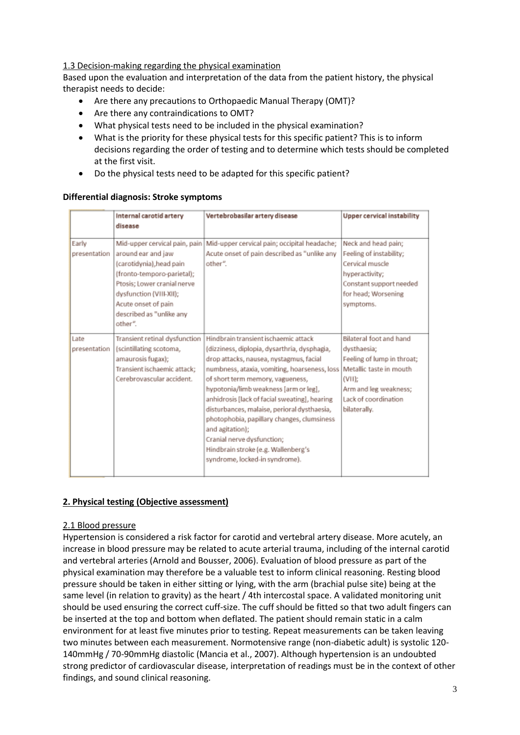# 1.3 Decision-making regarding the physical examination

Based upon the evaluation and interpretation of the data from the patient history, the physical therapist needs to decide:

- Are there any precautions to Orthopaedic Manual Therapy (OMT)?
- Are there any contraindications to OMT?
- What physical tests need to be included in the physical examination?
- What is the priority for these physical tests for this specific patient? This is to inform decisions regarding the order of testing and to determine which tests should be completed at the first visit.
- Do the physical tests need to be adapted for this specific patient?

#### **Differential diagnosis: Stroke symptoms**

|                       | Internal carotid artery<br>disease                                                                                                                                                                                                   | Vertebrobasilar artery disease                                                                                                                                                                                                                                                                                                                                                                                                                                                                                                       | <b>Upper cervical instability</b>                                                                                                                                          |
|-----------------------|--------------------------------------------------------------------------------------------------------------------------------------------------------------------------------------------------------------------------------------|--------------------------------------------------------------------------------------------------------------------------------------------------------------------------------------------------------------------------------------------------------------------------------------------------------------------------------------------------------------------------------------------------------------------------------------------------------------------------------------------------------------------------------------|----------------------------------------------------------------------------------------------------------------------------------------------------------------------------|
| Early<br>presentation | Mid-upper cervical pain, pain<br>around ear and jaw<br>(carotidynia), head pain<br>(fronto-temporo-parietal);<br>Ptosis; Lower cranial nerve<br>dysfunction (VIII-XII);<br>Acute onset of pain<br>described as "unlike any<br>other" | Mid-upper cervical pain; occipital headache;<br>Acute onset of pain described as "unlike any<br>other".                                                                                                                                                                                                                                                                                                                                                                                                                              | Neck and head pain;<br>Feeling of instability;<br>Cervical muscle<br>hyperactivity;<br>Constant support needed<br>for head: Worsening<br>symptoms.                         |
| Late<br>presentation  | Transient retinal dysfunction<br>(scintillating scotoma,<br>amaurosis fugax);<br>Transient ischaemic attack;<br>Cerebrovascular accident.                                                                                            | Hindbrain transient ischaemic attack<br>(dizziness, diplopia, dysarthria, dysphagia,<br>drop attacks, nausea, nystagmus, facial<br>numbness, ataxia, vomiting, hoarseness, loss<br>of short term memory, vagueness,<br>hypotonia/limb weakness [arm or leg],<br>anhidrosis [lack of facial sweating], hearing<br>disturbances, malaise, perioral dysthaesia,<br>photophobia, papillary changes, clumsiness<br>and agitation);<br>Cranial nerve dysfunction;<br>Hindbrain stroke (e.g. Wallenberg's<br>syndrome, locked-in syndrome). | Bilateral foot and hand<br>dysthaesia;<br>Feeling of lump in throat;<br>Metallic taste in mouth<br>(VIII)<br>Arm and leg weakness;<br>Lack of coordination<br>bilaterally. |

# **2. Physical testing (Objective assessment)**

# 2.1 Blood pressure

Hypertension is considered a risk factor for carotid and vertebral artery disease. More acutely, an increase in blood pressure may be related to acute arterial trauma, including of the internal carotid and vertebral arteries (Arnold and Bousser, 2006). Evaluation of blood pressure as part of the physical examination may therefore be a valuable test to inform clinical reasoning. Resting blood pressure should be taken in either sitting or lying, with the arm (brachial pulse site) being at the same level (in relation to gravity) as the heart / 4th intercostal space. A validated monitoring unit should be used ensuring the correct cuff-size. The cuff should be fitted so that two adult fingers can be inserted at the top and bottom when deflated. The patient should remain static in a calm environment for at least five minutes prior to testing. Repeat measurements can be taken leaving two minutes between each measurement. Normotensive range (non-diabetic adult) is systolic 120- 140mmHg / 70-90mmHg diastolic (Mancia et al., 2007). Although hypertension is an undoubted strong predictor of cardiovascular disease, interpretation of readings must be in the context of other findings, and sound clinical reasoning.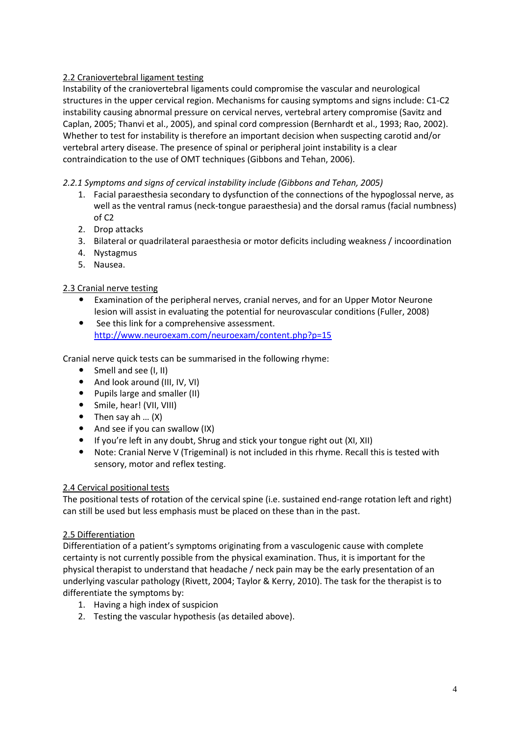# 2.2 Craniovertebral ligament testing

Instability of the craniovertebral ligaments could compromise the vascular and neurological structures in the upper cervical region. Mechanisms for causing symptoms and signs include: C1-C2 instability causing abnormal pressure on cervical nerves, vertebral artery compromise (Savitz and Caplan, 2005; Thanvi et al., 2005), and spinal cord compression (Bernhardt et al., 1993; Rao, 2002). Whether to test for instability is therefore an important decision when suspecting carotid and/or vertebral artery disease. The presence of spinal or peripheral joint instability is a clear contraindication to the use of OMT techniques (Gibbons and Tehan, 2006).

# *2.2.1 Symptoms and signs of cervical instability include (Gibbons and Tehan, 2005)*

- 1. Facial paraesthesia secondary to dysfunction of the connections of the hypoglossal nerve, as well as the ventral ramus (neck-tongue paraesthesia) and the dorsal ramus (facial numbness) of C2
- 2. Drop attacks
- 3. Bilateral or quadrilateral paraesthesia or motor deficits including weakness / incoordination
- 4. Nystagmus
- 5. Nausea.

# 2.3 Cranial nerve testing

- Examination of the peripheral nerves, cranial nerves, and for an Upper Motor Neurone lesion will assist in evaluating the potential for neurovascular conditions (Fuller, 2008)
- See this link for a comprehensive assessment. <http://www.neuroexam.com/neuroexam/content.php?p=15>

Cranial nerve quick tests can be summarised in the following rhyme:

- Smell and see (I, II)
- And look around (III, IV, VI)
- Pupils large and smaller (II)
- Smile, hear! (VII, VIII)
- Then say ah  $\dots$  (X)
- And see if you can swallow (IX)
- If you're left in any doubt, Shrug and stick your tongue right out (XI, XII)
- Note: Cranial Nerve V (Trigeminal) is not included in this rhyme. Recall this is tested with sensory, motor and reflex testing.

# 2.4 Cervical positional tests

The positional tests of rotation of the cervical spine (i.e. sustained end-range rotation left and right) can still be used but less emphasis must be placed on these than in the past.

# 2.5 Differentiation

Differentiation of a patient's symptoms originating from a vasculogenic cause with complete certainty is not currently possible from the physical examination. Thus, it is important for the physical therapist to understand that headache / neck pain may be the early presentation of an underlying vascular pathology (Rivett, 2004; Taylor & Kerry, 2010). The task for the therapist is to differentiate the symptoms by:

- 1. Having a high index of suspicion
- 2. Testing the vascular hypothesis (as detailed above).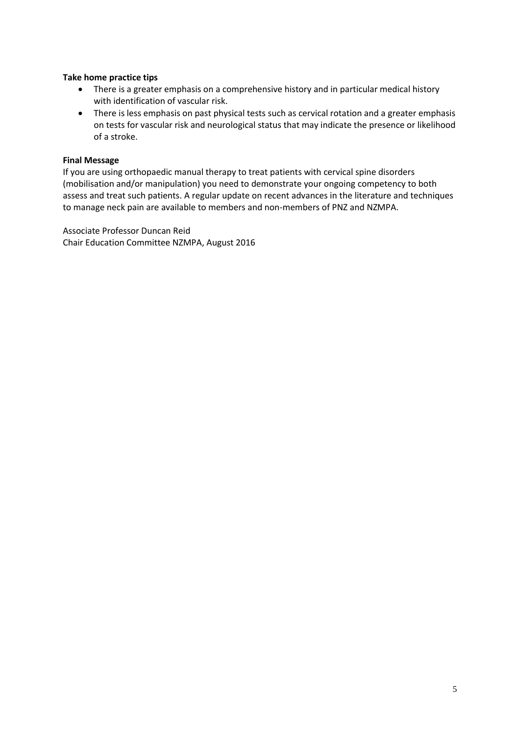#### **Take home practice tips**

- There is a greater emphasis on a comprehensive history and in particular medical history with identification of vascular risk.
- There is less emphasis on past physical tests such as cervical rotation and a greater emphasis on tests for vascular risk and neurological status that may indicate the presence or likelihood of a stroke.

#### **Final Message**

If you are using orthopaedic manual therapy to treat patients with cervical spine disorders (mobilisation and/or manipulation) you need to demonstrate your ongoing competency to both assess and treat such patients. A regular update on recent advances in the literature and techniques to manage neck pain are available to members and non-members of PNZ and NZMPA.

Associate Professor Duncan Reid Chair Education Committee NZMPA, August 2016